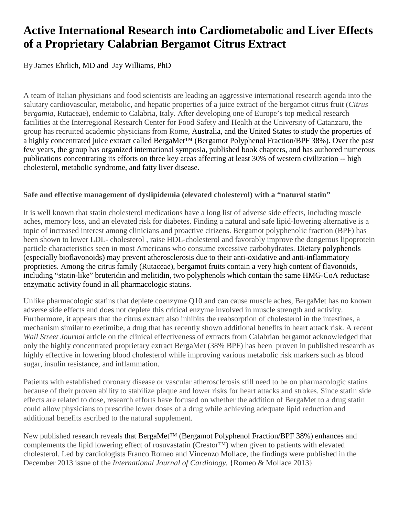# **Active International Research into Cardiometabolic and Liver Effects of a Proprietary Calabrian Bergamot Citrus Extract**

By James Ehrlich, MD and Jay Williams, PhD

A team of Italian physicians and food scientists are leading an aggressive international research agenda into the salutary cardiovascular, metabolic, and hepatic properties of a juice extract of the bergamot citrus fruit (*Citrus bergamia*, Rutaceae), endemic to Calabria, Italy. After developing one of Europe's top medical research facilities at the Interregional Research Center for Food Safety and Health at the University of Catanzaro, the group has recruited academic physicians from Rome, Australia, and the United States to study the properties of a highly concentrated juice extract called [BergaMet™](http://www.bergamet.com/) (Bergamot Polyphenol Fraction/BPF 38%). Over the past few years, the group has organized international symposia, published book chapters, and has authored numerous publications concentrating its efforts on three key areas affecting at least 30% of western civilization -- high cholesterol, metabolic syndrome, and fatty liver disease.

### **Safe and effective management of dyslipidemia (elevated cholesterol) with a "natural statin"**

It is well known that statin cholesterol medications have a long list of adverse side effects, including muscle aches, memory loss, and an elevated risk for diabetes. Finding a natural and safe lipid-lowering alternative is a topic of increased interest among clinicians and proactive citizens. Bergamot polyphenolic fraction (BPF) has been shown to lower LDL- cholesterol , raise HDL-cholesterol and favorably improve the dangerous lipoprotein particle characteristics seen in most Americans who consume excessive carbohydrates. Dietary polyphenols (especially bioflavonoids) may prevent atherosclerosis due to their anti-oxidative and anti-inflammatory proprieties. Among the citrus family (Rutaceae), bergamot fruits contain a very high content of flavonoids, including "statin-like" bruteridin and melitidin, two polyphenols which contain the same HMG-CoA reductase enzymatic activity found in all pharmacologic statins.

Unlike pharmacologic statins that deplete coenzyme Q10 and can cause muscle aches, BergaMet has no known adverse side effects and does not deplete this critical enzyme involved in muscle strength and activity. Furthermore, it appears that the citrus extract also inhibits the reabsorption of cholesterol in the intestines, a mechanism similar to ezetimibe, a drug that has recently shown additional benefits in heart attack risk. A recent *Wall Street Journal* article on the clinical effectiveness of extracts from Calabrian bergamot acknowledged that only the highly concentrated proprietary extract BergaMet (38% BPF) has been proven in published research as highly effective in lowering blood cholesterol while improving various metabolic risk markers such as blood sugar, insulin resistance, and inflammation.

Patients with established coronary disease or vascular atherosclerosis still need to be on pharmacologic statins because of their proven ability to stabilize plaque and lower risks for heart attacks and strokes. Since statin side effects are related to dose, research efforts have focused on whether the addition of BergaMet to a drug statin could allow physicians to prescribe lower doses of a drug while achieving adequate lipid reduction and additional benefits ascribed to the natural supplement.

New published research reveals that BergaMet<sup>™</sup> (Bergamot Polyphenol Fraction/BPF 38%) enhances and complements the lipid lowering effect of rosuvastatin (Crestor™) when given to patients with elevated cholesterol. Led by cardiologists Franco Romeo and Vincenzo Mollace, the findings were published in the December 2013 issue of the *International Journal of Cardiology.* {Romeo & Mollace 2013}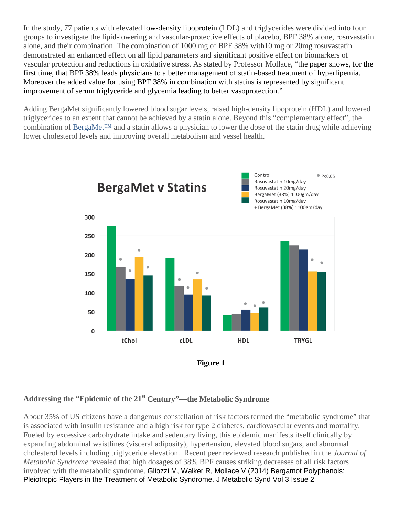In the study, 77 patients with elevated low-density lipoprotein (LDL) and triglycerides were divided into four groups to investigate the lipid-lowering and vascular-protective effects of placebo, BPF 38% alone, rosuvastatin alone, and their combination. The combination of 1000 mg of BPF 38% with10 mg or 20mg rosuvastatin demonstrated an enhanced effect on all lipid parameters and significant positive effect on biomarkers of vascular protection and reductions in oxidative stress. As stated by Professor Mollace, "the paper shows, for the first time, that BPF 38% leads physicians to a better management of statin-based treatment of hyperlipemia. Moreover the added value for using BPF 38% in combination with statins is represented by significant improvement of serum triglyceride and glycemia leading to better vasoprotection."

Adding BergaMet significantly lowered blood sugar levels, raised high-density lipoprotein (HDL) and lowered triglycerides to an extent that cannot be achieved by a statin alone. Beyond this "complementary effect", the combination of [BergaMet™](http://www.bergamet.com/) and a statin allows a physician to lower the dose of the statin drug while achieving lower cholesterol levels and improving overall metabolism and vessel health.



**Figure 1**

# **Addressing the "Epidemic of the 21st Century"—the Metabolic Syndrome**

About 35% of US citizens have a dangerous constellation of risk factors termed the "metabolic syndrome" that is associated with insulin resistance and a high risk for type 2 diabetes, cardiovascular events and mortality. Fueled by excessive carbohydrate intake and sedentary living, this epidemic manifests itself clinically by expanding abdominal waistlines (visceral adiposity), hypertension, elevated blood sugars, and abnormal cholesterol levels including triglyceride elevation. Recent peer reviewed research published in the *Journal of Metabolic Syndrome* revealed that high dosages of 38% BPF causes striking decreases of all risk factors involved with the metabolic syndrome. Gliozzi M, Walker R, Mollace V (2014) Bergamot Polyphenols: Pleiotropic Players in the Treatment of Metabolic Syndrome. J Metabolic Synd Vol 3 Issue 2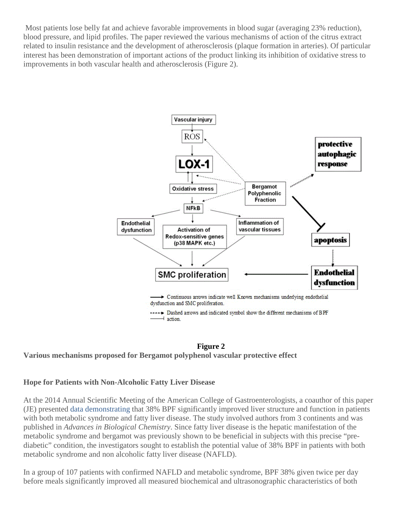Most patients lose belly fat and achieve favorable improvements in blood sugar (averaging 23% reduction), blood pressure, and lipid profiles. The paper reviewed the various mechanisms of action of the citrus extract related to insulin resistance and the development of atherosclerosis (plaque formation in arteries). Of particular interest has been demonstration of important actions of the product linking its inhibition of oxidative stress to improvements in both vascular health and atherosclerosis (Figure 2).



### **Figure 2**

### **Various mechanisms proposed for Bergamot polyphenol vascular protective effect**

#### **Hope for Patients with Non-Alcoholic Fatty Liver Disease**

At the 2014 Annual Scientific Meeting of the American College of Gastroenterologists, a coauthor of this paper (JE) presented [data](http://professorvincenzomollace.com/abstract/) demonstrating that 38% BPF significantly improved liver structure and function in patients with both metabolic syndrome and fatty liver disease. The study involved authors from 3 continents and was published in *Advances in Biological Chemistry*. Since fatty liver disease is the hepatic manifestation of the metabolic syndrome and bergamot was previously shown to be beneficial in subjects with this precise "prediabetic" condition, the investigators sought to establish the potential value of 38% BPF in patients with both metabolic syndrome and non alcoholic fatty liver disease (NAFLD).

In a group of 107 patients with confirmed NAFLD and metabolic syndrome, BPF 38% given twice per day before meals significantly improved all measured biochemical and ultrasonographic characteristics of both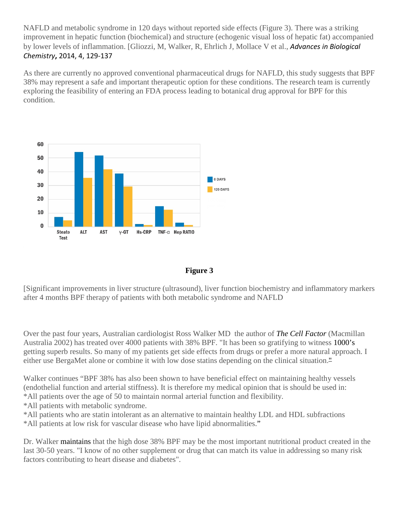NAFLD and metabolic syndrome in 120 days without reported side effects (Figure 3). There was a striking improvement in hepatic function (biochemical) and structure (echogenic visual loss of hepatic fat) accompanied by lower levels of inflammation. [Gliozzi, M, Walker, R, Ehrlich J, Mollace V et al., *Advances in Biological Chemistry***,** 2014, 4, 129-137

As there are currently no approved conventional pharmaceutical drugs for NAFLD, this study suggests that BPF 38% may represent a safe and important therapeutic option for these conditions. The research team is currently exploring the feasibility of entering an FDA process leading to botanical drug approval for BPF for this condition.





[Significant improvements in liver structure (ultrasound), liver function biochemistry and inflammatory markers after 4 months BPF therapy of patients with both metabolic syndrome and NAFLD

Over the past four years, Australian cardiologist Ross Walker MD the author of *The Cell Factor* (Macmillan Australia 2002) has treated over 4000 patients with 38% BPF. "It has been so gratifying to witness 1000's getting superb results. So many of my patients get side effects from drugs or prefer a more natural approach. I either use BergaMet alone or combine it with low dose statins depending on the clinical situation."

Walker continues "BPF 38% has also been shown to have beneficial effect on maintaining healthy vessels (endothelial function and arterial stiffness). It is therefore my medical opinion that is should be used in: \*All patients over the age of 50 to maintain normal arterial function and flexibility.

\*All patients with metabolic syndrome.

\*All patients who are statin intolerant as an alternative to maintain healthy LDL and HDL subfractions \*All patients at low risk for vascular disease who have lipid abnormalities."

Dr. Walker maintains that the high dose 38% BPF may be the most important nutritional product created in the last 30-50 years. "I know of no other supplement or drug that can match its value in addressing so many risk factors contributing to heart disease and diabetes".